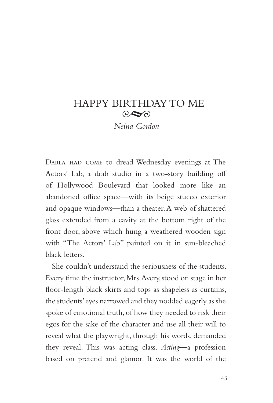## HAPPY BIRTHDAY TO ME  $\odot \blacktriangleright$

*Neina Gordon*

Darla had come to dread Wednesday evenings at The Actors' Lab, a drab studio in a two-story building off of Hollywood Boulevard that looked more like an abandoned office space—with its beige stucco exterior and opaque windows—than a theater. A web of shattered glass extended from a cavity at the bottom right of the front door, above which hung a weathered wooden sign with "The Actors' Lab" painted on it in sun-bleached black letters.

She couldn't understand the seriousness of the students. Every time the instructor, Mrs. Avery, stood on stage in her floor-length black skirts and tops as shapeless as curtains, the students' eyes narrowed and they nodded eagerly as she spoke of emotional truth, of how they needed to risk their egos for the sake of the character and use all their will to reveal what the playwright, through his words, demanded they reveal. This was acting class. *Acting*—a profession based on pretend and glamor. It was the world of the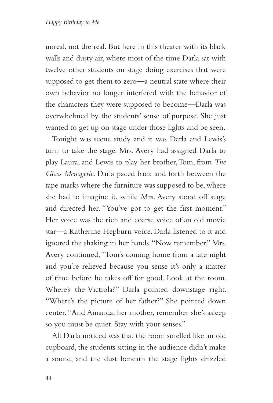unreal, not the real. But here in this theater with its black walls and dusty air, where most of the time Darla sat with twelve other students on stage doing exercises that were supposed to get them to zero—a neutral state where their own behavior no longer interfered with the behavior of the characters they were supposed to become—Darla was overwhelmed by the students' sense of purpose. She just wanted to get up on stage under those lights and be seen.

Tonight was scene study and it was Darla and Lewis's turn to take the stage. Mrs. Avery had assigned Darla to play Laura, and Lewis to play her brother, Tom, from *The Glass Menagerie*. Darla paced back and forth between the tape marks where the furniture was supposed to be, where she had to imagine it, while Mrs. Avery stood off stage and directed her. "You've got to get the first moment." Her voice was the rich and coarse voice of an old movie star—a Katherine Hepburn voice. Darla listened to it and ignored the shaking in her hands. "Now remember," Mrs. Avery continued, "Tom's coming home from a late night and you're relieved because you sense it's only a matter of time before he takes off for good. Look at the room. Where's the Victrola?" Darla pointed downstage right. "Where's the picture of her father?" She pointed down center. "And Amanda, her mother, remember she's asleep so you must be quiet. Stay with your senses."

All Darla noticed was that the room smelled like an old cupboard, the students sitting in the audience didn't make a sound, and the dust beneath the stage lights drizzled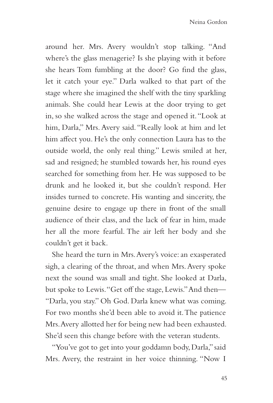around her. Mrs. Avery wouldn't stop talking. "And where's the glass menagerie? Is she playing with it before she hears Tom fumbling at the door? Go find the glass, let it catch your eye." Darla walked to that part of the stage where she imagined the shelf with the tiny sparkling animals. She could hear Lewis at the door trying to get in, so she walked across the stage and opened it. "Look at him, Darla," Mrs. Avery said. "Really look at him and let him affect you. He's the only connection Laura has to the outside world, the only real thing." Lewis smiled at her, sad and resigned; he stumbled towards her, his round eyes searched for something from her. He was supposed to be drunk and he looked it, but she couldn't respond. Her insides turned to concrete. His wanting and sincerity, the genuine desire to engage up there in front of the small audience of their class, and the lack of fear in him, made her all the more fearful. The air left her body and she couldn't get it back.

She heard the turn in Mrs. Avery's voice: an exasperated sigh, a clearing of the throat, and when Mrs. Avery spoke next the sound was small and tight. She looked at Darla, but spoke to Lewis. "Get off the stage, Lewis." And then— "Darla, you stay." Oh God. Darla knew what was coming. For two months she'd been able to avoid it. The patience Mrs. Avery allotted her for being new had been exhausted. She'd seen this change before with the veteran students.

"You've got to get into your goddamn body, Darla," said Mrs. Avery, the restraint in her voice thinning. "Now I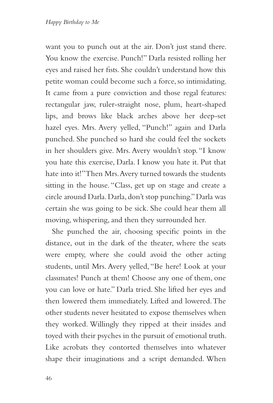want you to punch out at the air. Don't just stand there. You know the exercise. Punch!" Darla resisted rolling her eyes and raised her fists. She couldn't understand how this petite woman could become such a force, so intimidating. It came from a pure conviction and those regal features: rectangular jaw, ruler-straight nose, plum, heart-shaped lips, and brows like black arches above her deep-set hazel eyes. Mrs. Avery yelled, "Punch!" again and Darla punched. She punched so hard she could feel the sockets in her shoulders give. Mrs. Avery wouldn't stop. "I know you hate this exercise, Darla. I know you hate it. Put that hate into it!" Then Mrs. Avery turned towards the students sitting in the house. "Class, get up on stage and create a circle around Darla. Darla, don't stop punching." Darla was certain she was going to be sick. She could hear them all moving, whispering, and then they surrounded her.

She punched the air, choosing specific points in the distance, out in the dark of the theater, where the seats were empty, where she could avoid the other acting students, until Mrs. Avery yelled, "Be here! Look at your classmates! Punch at them! Choose any one of them, one you can love or hate." Darla tried. She lifted her eyes and then lowered them immediately. Lifted and lowered. The other students never hesitated to expose themselves when they worked. Willingly they ripped at their insides and toyed with their psyches in the pursuit of emotional truth. Like acrobats they contorted themselves into whatever shape their imaginations and a script demanded. When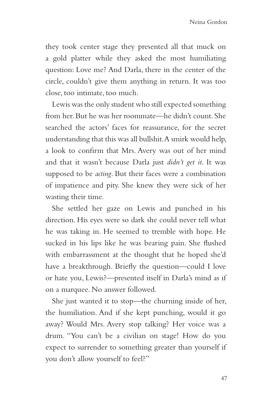they took center stage they presented all that muck on a gold platter while they asked the most humiliating question: Love me? And Darla, there in the center of the circle, couldn't give them anything in return. It was too close, too intimate, too much.

Lewis was the only student who still expected something from her. But he was her roommate—he didn't count. She searched the actors' faces for reassurance, for the secret understanding that this was all bullshit. A smirk would help, a look to confirm that Mrs. Avery was out of her mind and that it wasn't because Darla just *didn't get it*. It was supposed to be *acting*. But their faces were a combination of impatience and pity. She knew they were sick of her wasting their time.

She settled her gaze on Lewis and punched in his direction. His eyes were so dark she could never tell what he was taking in. He seemed to tremble with hope. He sucked in his lips like he was bearing pain. She flushed with embarrassment at the thought that he hoped she'd have a breakthrough. Briefly the question—could I love or hate you, Lewis?—presented itself in Darla's mind as if on a marquee. No answer followed.

She just wanted it to stop—the churning inside of her, the humiliation. And if she kept punching, would it go away? Would Mrs. Avery stop talking? Her voice was a drum. "You can't be a civilian on stage! How do you expect to surrender to something greater than yourself if you don't allow yourself to feel?"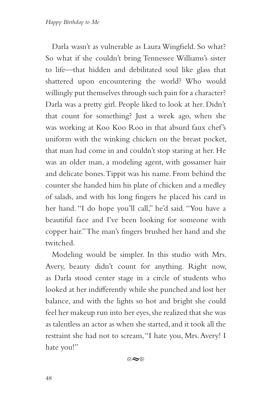Darla wasn't as vulnerable as Laura Wingfield. So what? So what if she couldn't bring Tennessee Williams's sister to life—that hidden and debilitated soul like glass that shattered upon encountering the world? Who would willingly put themselves through such pain for a character? Darla was a pretty girl. People liked to look at her. Didn't that count for something? Just a week ago, when she was working at Koo Koo Roo in that absurd faux chef's uniform with the winking chicken on the breast pocket, that man had come in and couldn't stop staring at her. He was an older man, a modeling agent, with gossamer hair and delicate bones. Tippit was his name. From behind the counter she handed him his plate of chicken and a medley of salads, and with his long fingers he placed his card in her hand. "I do hope you'll call," he'd said. "You have a beautiful face and I've been looking for someone with copper hair." The man's fingers brushed her hand and she twitched.

Modeling would be simpler. In this studio with Mrs. Avery, beauty didn't count for anything. Right now, as Darla stood center stage in a circle of students who looked at her indifferently while she punched and lost her balance, and with the lights so hot and bright she could feel her makeup run into her eyes, she realized that she was as talentless an actor as when she started, and it took all the restraint she had not to scream, "I hate you, Mrs. Avery! I hate you!"

 $\circ \sim$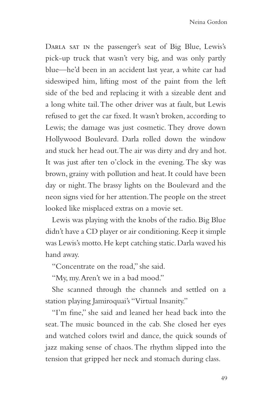Darla sat in the passenger's seat of Big Blue, Lewis's pick-up truck that wasn't very big, and was only partly blue—he'd been in an accident last year, a white car had sideswiped him, lifting most of the paint from the left side of the bed and replacing it with a sizeable dent and a long white tail. The other driver was at fault, but Lewis refused to get the car fixed. It wasn't broken, according to Lewis; the damage was just cosmetic. They drove down Hollywood Boulevard. Darla rolled down the window and stuck her head out. The air was dirty and dry and hot. It was just after ten o'clock in the evening. The sky was brown, grainy with pollution and heat. It could have been day or night. The brassy lights on the Boulevard and the neon signs vied for her attention. The people on the street looked like misplaced extras on a movie set.

Lewis was playing with the knobs of the radio. Big Blue didn't have a CD player or air conditioning. Keep it simple was Lewis's motto. He kept catching static. Darla waved his hand away.

"Concentrate on the road," she said.

"My, my. Aren't we in a bad mood."

She scanned through the channels and settled on a station playing Jamiroquai's "Virtual Insanity."

"I'm fine," she said and leaned her head back into the seat. The music bounced in the cab. She closed her eyes and watched colors twirl and dance, the quick sounds of jazz making sense of chaos. The rhythm slipped into the tension that gripped her neck and stomach during class.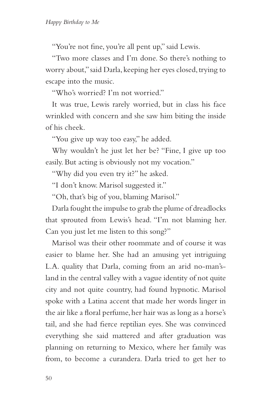"You're not fine, you're all pent up," said Lewis.

"Two more classes and I'm done. So there's nothing to worry about," said Darla, keeping her eyes closed, trying to escape into the music.

"Who's worried? I'm not worried."

It was true, Lewis rarely worried, but in class his face wrinkled with concern and she saw him biting the inside of his cheek.

"You give up way too easy," he added.

Why wouldn't he just let her be? "Fine, I give up too easily. But acting is obviously not my vocation."

"Why did you even try it?" he asked.

"I don't know. Marisol suggested it."

"Oh, that's big of you, blaming Marisol."

Darla fought the impulse to grab the plume of dreadlocks that sprouted from Lewis's head. "I'm not blaming her. Can you just let me listen to this song?"

Marisol was their other roommate and of course it was easier to blame her. She had an amusing yet intriguing L.A. quality that Darla, coming from an arid no-man'sland in the central valley with a vague identity of not quite city and not quite country, had found hypnotic. Marisol spoke with a Latina accent that made her words linger in the air like a floral perfume, her hair was as long as a horse's tail, and she had fierce reptilian eyes. She was convinced everything she said mattered and after graduation was planning on returning to Mexico, where her family was from, to become a curandera. Darla tried to get her to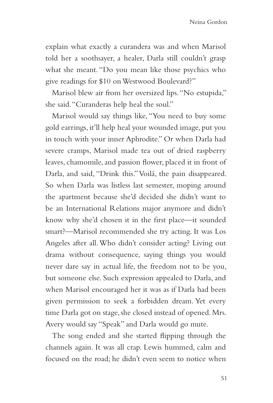explain what exactly a curandera was and when Marisol told her a soothsayer, a healer, Darla still couldn't grasp what she meant. "Do you mean like those psychics who give readings for \$10 on Westwood Boulevard?"

Marisol blew air from her oversized lips. "No estupida," she said. "Curanderas help heal the soul."

Marisol would say things like, "You need to buy some gold earrings, it'll help heal your wounded image, put you in touch with your inner Aphrodite." Or when Darla had severe cramps, Marisol made tea out of dried raspberry leaves, chamomile, and passion flower, placed it in front of Darla, and said, "Drink this." Voilá, the pain disappeared. So when Darla was listless last semester, moping around the apartment because she'd decided she didn't want to be an International Relations major anymore and didn't know why she'd chosen it in the first place—it sounded smart?—Marisol recommended she try acting. It was Los Angeles after all. Who didn't consider acting? Living out drama without consequence, saying things you would never dare say in actual life, the freedom not to be you, but someone else. Such expression appealed to Darla, and when Marisol encouraged her it was as if Darla had been given permission to seek a forbidden dream. Yet every time Darla got on stage, she closed instead of opened. Mrs. Avery would say "Speak" and Darla would go mute.

The song ended and she started flipping through the channels again. It was all crap. Lewis hummed, calm and focused on the road; he didn't even seem to notice when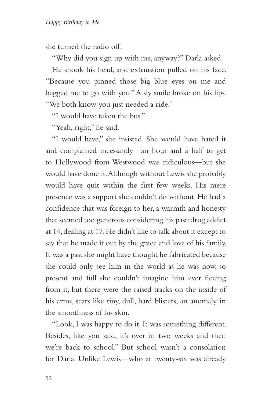she turned the radio off.

"Why did you sign up with me, anyway?" Darla asked.

He shook his head, and exhaustion pulled on his face. "Because you pinned those big blue eyes on me and begged me to go with you." A sly smile broke on his lips. "We both know you just needed a ride."

"I would have taken the bus."

"Yeah, right," he said.

"I would have," she insisted. She would have hated it and complained incessantly—an hour and a half to get to Hollywood from Westwood was ridiculous—but she would have done it. Although without Lewis she probably would have quit within the first few weeks. His mere presence was a support she couldn't do without. He had a confidence that was foreign to her, a warmth and honesty that seemed too generous considering his past: drug addict at 14, dealing at 17. He didn't like to talk about it except to say that he made it out by the grace and love of his family. It was a past she might have thought he fabricated because she could only see him in the world as he was now, so present and full she couldn't imagine him ever fleeing from it, but there were the raised tracks on the inside of his arms, scars like tiny, dull, hard blisters, an anomaly in the smoothness of his skin.

"Look, I was happy to do it. It was something different. Besides, like you said, it's over in two weeks and then we're back to school." But school wasn't a consolation for Darla. Unlike Lewis—who at twenty-six was already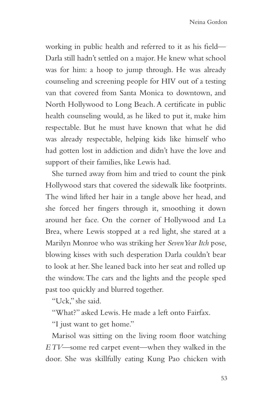working in public health and referred to it as his field— Darla still hadn't settled on a major. He knew what school was for him: a hoop to jump through. He was already counseling and screening people for HIV out of a testing van that covered from Santa Monica to downtown, and North Hollywood to Long Beach. A certificate in public health counseling would, as he liked to put it, make him respectable. But he must have known that what he did was already respectable, helping kids like himself who had gotten lost in addiction and didn't have the love and support of their families, like Lewis had.

She turned away from him and tried to count the pink Hollywood stars that covered the sidewalk like footprints. The wind lifted her hair in a tangle above her head, and she forced her fingers through it, smoothing it down around her face. On the corner of Hollywood and La Brea, where Lewis stopped at a red light, she stared at a Marilyn Monroe who was striking her *Seven Year Itch* pose, blowing kisses with such desperation Darla couldn't bear to look at her. She leaned back into her seat and rolled up the window. The cars and the lights and the people sped past too quickly and blurred together.

"Uck," she said.

"What?" asked Lewis. He made a left onto Fairfax.

"I just want to get home."

Marisol was sitting on the living room floor watching *E TV*—some red carpet event—when they walked in the door. She was skillfully eating Kung Pao chicken with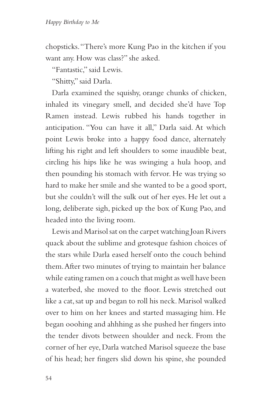chopsticks. "There's more Kung Pao in the kitchen if you want any. How was class?" she asked.

"Fantastic," said Lewis.

"Shitty," said Darla.

Darla examined the squishy, orange chunks of chicken, inhaled its vinegary smell, and decided she'd have Top Ramen instead. Lewis rubbed his hands together in anticipation. "You can have it all," Darla said. At which point Lewis broke into a happy food dance, alternately lifting his right and left shoulders to some inaudible beat, circling his hips like he was swinging a hula hoop, and then pounding his stomach with fervor. He was trying so hard to make her smile and she wanted to be a good sport, but she couldn't will the sulk out of her eyes. He let out a long, deliberate sigh, picked up the box of Kung Pao, and headed into the living room.

Lewis and Marisol sat on the carpet watching Joan Rivers quack about the sublime and grotesque fashion choices of the stars while Darla eased herself onto the couch behind them. After two minutes of trying to maintain her balance while eating ramen on a couch that might as well have been a waterbed, she moved to the floor. Lewis stretched out like a cat, sat up and began to roll his neck. Marisol walked over to him on her knees and started massaging him. He began ooohing and ahhhing as she pushed her fingers into the tender divots between shoulder and neck. From the corner of her eye, Darla watched Marisol squeeze the base of his head; her fingers slid down his spine, she pounded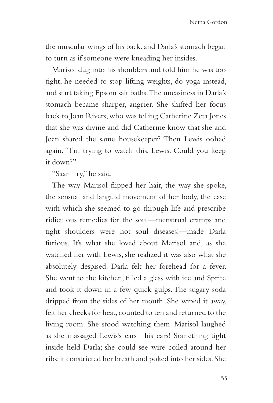the muscular wings of his back, and Darla's stomach began to turn as if someone were kneading her insides.

Marisol dug into his shoulders and told him he was too tight, he needed to stop lifting weights, do yoga instead, and start taking Epsom salt baths. The uneasiness in Darla's stomach became sharper, angrier. She shifted her focus back to Joan Rivers, who was telling Catherine Zeta Jones that she was divine and did Catherine know that she and Joan shared the same housekeeper? Then Lewis oohed again. "I'm trying to watch this, Lewis. Could you keep it down?"

"Saar—ry," he said.

The way Marisol flipped her hair, the way she spoke, the sensual and languid movement of her body, the ease with which she seemed to go through life and prescribe ridiculous remedies for the soul—menstrual cramps and tight shoulders were not soul diseases!—made Darla furious. It's what she loved about Marisol and, as she watched her with Lewis, she realized it was also what she absolutely despised. Darla felt her forehead for a fever. She went to the kitchen, filled a glass with ice and Sprite and took it down in a few quick gulps. The sugary soda dripped from the sides of her mouth. She wiped it away, felt her cheeks for heat, counted to ten and returned to the living room. She stood watching them. Marisol laughed as she massaged Lewis's ears—his ears! Something tight inside held Darla; she could see wire coiled around her ribs; it constricted her breath and poked into her sides. She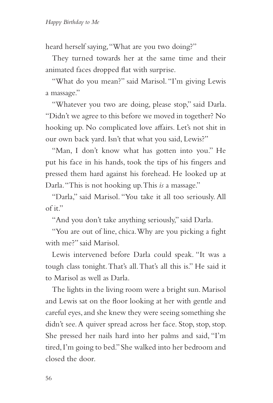heard herself saying, "What are you two doing?"

They turned towards her at the same time and their animated faces dropped flat with surprise.

"What do you mean?" said Marisol. "I'm giving Lewis a massage."

"Whatever you two are doing, please stop," said Darla. "Didn't we agree to this before we moved in together? No hooking up. No complicated love affairs. Let's not shit in our own back yard. Isn't that what you said, Lewis?"

"Man, I don't know what has gotten into you." He put his face in his hands, took the tips of his fingers and pressed them hard against his forehead. He looked up at Darla. "This is not hooking up. This *is* a massage."

"Darla," said Marisol. "You take it all too seriously. All of it."

"And you don't take anything seriously," said Darla.

"You are out of line, chica. Why are you picking a fight with me?" said Marisol.

Lewis intervened before Darla could speak. "It was a tough class tonight. That's all. That's all this is." He said it to Marisol as well as Darla.

The lights in the living room were a bright sun. Marisol and Lewis sat on the floor looking at her with gentle and careful eyes, and she knew they were seeing something she didn't see. A quiver spread across her face. Stop, stop, stop. She pressed her nails hard into her palms and said, "I'm tired, I'm going to bed." She walked into her bedroom and closed the door.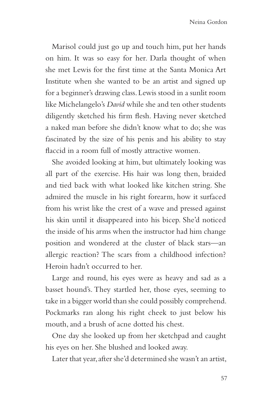Marisol could just go up and touch him, put her hands on him. It was so easy for her. Darla thought of when she met Lewis for the first time at the Santa Monica Art Institute when she wanted to be an artist and signed up for a beginner's drawing class. Lewis stood in a sunlit room like Michelangelo's *David* while she and ten other students diligently sketched his firm flesh. Having never sketched a naked man before she didn't know what to do; she was fascinated by the size of his penis and his ability to stay flaccid in a room full of mostly attractive women.

She avoided looking at him, but ultimately looking was all part of the exercise. His hair was long then, braided and tied back with what looked like kitchen string. She admired the muscle in his right forearm, how it surfaced from his wrist like the crest of a wave and pressed against his skin until it disappeared into his bicep. She'd noticed the inside of his arms when the instructor had him change position and wondered at the cluster of black stars—an allergic reaction? The scars from a childhood infection? Heroin hadn't occurred to her.

Large and round, his eyes were as heavy and sad as a basset hound's. They startled her, those eyes, seeming to take in a bigger world than she could possibly comprehend. Pockmarks ran along his right cheek to just below his mouth, and a brush of acne dotted his chest.

One day she looked up from her sketchpad and caught his eyes on her. She blushed and looked away.

Later that year, after she'd determined she wasn't an artist,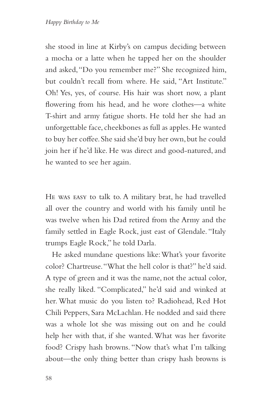she stood in line at Kirby's on campus deciding between a mocha or a latte when he tapped her on the shoulder and asked, "Do you remember me?" She recognized him, but couldn't recall from where. He said, "Art Institute." Oh! Yes, yes, of course. His hair was short now, a plant flowering from his head, and he wore clothes—a white T-shirt and army fatigue shorts. He told her she had an unforgettable face, cheekbones as full as apples. He wanted to buy her coffee. She said she'd buy her own, but he could join her if he'd like. He was direct and good-natured, and he wanted to see her again.

He was easy to talk to. A military brat, he had travelled all over the country and world with his family until he was twelve when his Dad retired from the Army and the family settled in Eagle Rock, just east of Glendale. "Italy trumps Eagle Rock," he told Darla.

He asked mundane questions like: What's your favorite color? Chartreuse. "What the hell color is that?" he'd said. A type of green and it was the name, not the actual color, she really liked. "Complicated," he'd said and winked at her. What music do you listen to? Radiohead, Red Hot Chili Peppers, Sara McLachlan. He nodded and said there was a whole lot she was missing out on and he could help her with that, if she wanted. What was her favorite food? Crispy hash browns. "Now that's what I'm talking about—the only thing better than crispy hash browns is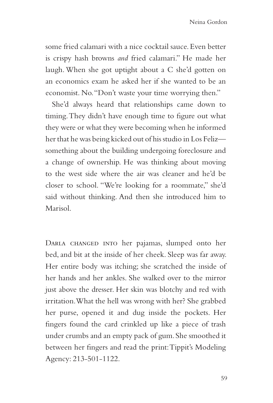some fried calamari with a nice cocktail sauce. Even better is crispy hash browns *and* fried calamari." He made her laugh. When she got uptight about a C she'd gotten on an economics exam he asked her if she wanted to be an economist. No. "Don't waste your time worrying then."

She'd always heard that relationships came down to timing. They didn't have enough time to figure out what they were or what they were becoming when he informed her that he was being kicked out of his studio in Los Feliz something about the building undergoing foreclosure and a change of ownership. He was thinking about moving to the west side where the air was cleaner and he'd be closer to school. "We're looking for a roommate," she'd said without thinking. And then she introduced him to Marisol.

DARLA CHANGED INTO her pajamas, slumped onto her bed, and bit at the inside of her cheek. Sleep was far away. Her entire body was itching; she scratched the inside of her hands and her ankles. She walked over to the mirror just above the dresser. Her skin was blotchy and red with irritation. What the hell was wrong with her? She grabbed her purse, opened it and dug inside the pockets. Her fingers found the card crinkled up like a piece of trash under crumbs and an empty pack of gum. She smoothed it between her fingers and read the print: Tippit's Modeling Agency: 213-501-1122.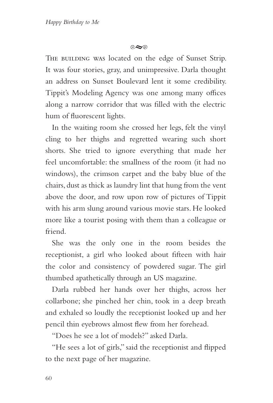$\infty$ 

THE BUILDING WAS located on the edge of Sunset Strip. It was four stories, gray, and unimpressive. Darla thought an address on Sunset Boulevard lent it some credibility. Tippit's Modeling Agency was one among many offices along a narrow corridor that was filled with the electric hum of fluorescent lights.

In the waiting room she crossed her legs, felt the vinyl cling to her thighs and regretted wearing such short shorts. She tried to ignore everything that made her feel uncomfortable: the smallness of the room (it had no windows), the crimson carpet and the baby blue of the chairs, dust as thick as laundry lint that hung from the vent above the door, and row upon row of pictures of Tippit with his arm slung around various movie stars. He looked more like a tourist posing with them than a colleague or friend.

She was the only one in the room besides the receptionist, a girl who looked about fifteen with hair the color and consistency of powdered sugar. The girl thumbed apathetically through an US magazine.

Darla rubbed her hands over her thighs, across her collarbone; she pinched her chin, took in a deep breath and exhaled so loudly the receptionist looked up and her pencil thin eyebrows almost flew from her forehead.

"Does he see a lot of models?" asked Darla.

"He sees a lot of girls," said the receptionist and flipped to the next page of her magazine.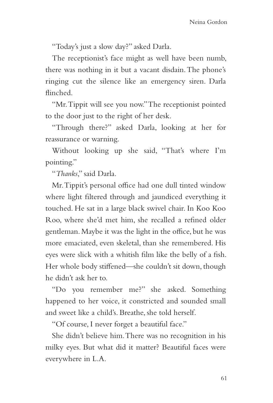"Today's just a slow day?" asked Darla.

The receptionist's face might as well have been numb, there was nothing in it but a vacant disdain. The phone's ringing cut the silence like an emergency siren. Darla flinched.

"Mr. Tippit will see you now." The receptionist pointed to the door just to the right of her desk.

"Through there?" asked Darla, looking at her for reassurance or warning.

Without looking up she said, "That's where I'm pointing."

"*Thanks*," said Darla.

Mr. Tippit's personal office had one dull tinted window where light filtered through and jaundiced everything it touched. He sat in a large black swivel chair. In Koo Koo Roo, where she'd met him, she recalled a refined older gentleman. Maybe it was the light in the office, but he was more emaciated, even skeletal, than she remembered. His eyes were slick with a whitish film like the belly of a fish. Her whole body stiffened—she couldn't sit down, though he didn't ask her to.

"Do you remember me?" she asked. Something happened to her voice, it constricted and sounded small and sweet like a child's. Breathe, she told herself.

"Of course, I never forget a beautiful face."

She didn't believe him. There was no recognition in his milky eyes. But what did it matter? Beautiful faces were everywhere in L.A.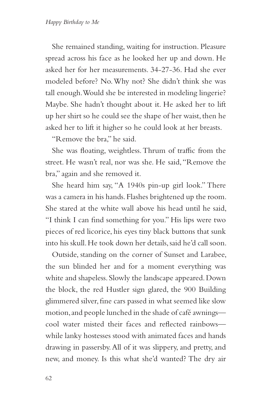She remained standing, waiting for instruction. Pleasure spread across his face as he looked her up and down. He asked her for her measurements. 34-27-36. Had she ever modeled before? No. Why not? She didn't think she was tall enough. Would she be interested in modeling lingerie? Maybe. She hadn't thought about it. He asked her to lift up her shirt so he could see the shape of her waist, then he asked her to lift it higher so he could look at her breasts.

"Remove the bra," he said.

She was floating, weightless. Thrum of traffic from the street. He wasn't real, nor was she. He said, "Remove the bra," again and she removed it.

She heard him say, "A 1940s pin-up girl look." There was a camera in his hands. Flashes brightened up the room. She stared at the white wall above his head until he said, "I think I can find something for you." His lips were two pieces of red licorice, his eyes tiny black buttons that sunk into his skull. He took down her details, said he'd call soon.

Outside, standing on the corner of Sunset and Larabee, the sun blinded her and for a moment everything was white and shapeless. Slowly the landscape appeared. Down the block, the red Hustler sign glared, the 900 Building glimmered silver, fine cars passed in what seemed like slow motion, and people lunched in the shade of café awnings cool water misted their faces and reflected rainbows while lanky hostesses stood with animated faces and hands drawing in passersby. All of it was slippery, and pretty, and new, and money. Is this what she'd wanted? The dry air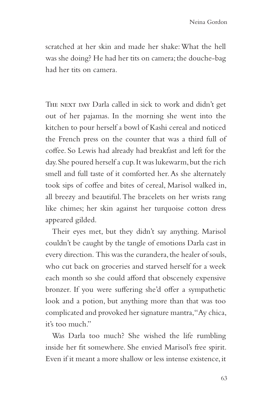scratched at her skin and made her shake: What the hell was she doing? He had her tits on camera; the douche-bag had her tits on camera.

THE NEXT DAY Darla called in sick to work and didn't get out of her pajamas. In the morning she went into the kitchen to pour herself a bowl of Kashi cereal and noticed the French press on the counter that was a third full of coffee. So Lewis had already had breakfast and left for the day. She poured herself a cup. It was lukewarm, but the rich smell and full taste of it comforted her. As she alternately took sips of coffee and bites of cereal, Marisol walked in, all breezy and beautiful. The bracelets on her wrists rang like chimes; her skin against her turquoise cotton dress appeared gilded.

Their eyes met, but they didn't say anything. Marisol couldn't be caught by the tangle of emotions Darla cast in every direction. This was the curandera, the healer of souls, who cut back on groceries and starved herself for a week each month so she could afford that obscenely expensive bronzer. If you were suffering she'd offer a sympathetic look and a potion, but anything more than that was too complicated and provoked her signature mantra, "Ay chica, it's too much."

Was Darla too much? She wished the life rumbling inside her fit somewhere. She envied Marisol's free spirit. Even if it meant a more shallow or less intense existence, it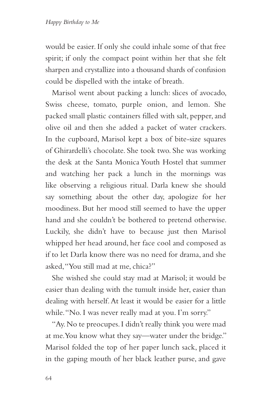would be easier. If only she could inhale some of that free spirit; if only the compact point within her that she felt sharpen and crystallize into a thousand shards of confusion could be dispelled with the intake of breath.

Marisol went about packing a lunch: slices of avocado, Swiss cheese, tomato, purple onion, and lemon. She packed small plastic containers filled with salt, pepper, and olive oil and then she added a packet of water crackers. In the cupboard, Marisol kept a box of bite-size squares of Ghirardelli's chocolate. She took two. She was working the desk at the Santa Monica Youth Hostel that summer and watching her pack a lunch in the mornings was like observing a religious ritual. Darla knew she should say something about the other day, apologize for her moodiness. But her mood still seemed to have the upper hand and she couldn't be bothered to pretend otherwise. Luckily, she didn't have to because just then Marisol whipped her head around, her face cool and composed as if to let Darla know there was no need for drama, and she asked, "You still mad at me, chica?"

She wished she could stay mad at Marisol; it would be easier than dealing with the tumult inside her, easier than dealing with herself. At least it would be easier for a little while. "No. I was never really mad at you. I'm sorry."

"Ay. No te preocupes. I didn't really think you were mad at me. You know what they say—water under the bridge." Marisol folded the top of her paper lunch sack, placed it in the gaping mouth of her black leather purse, and gave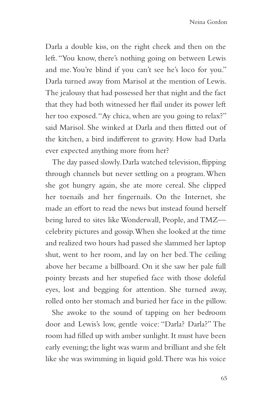Darla a double kiss, on the right cheek and then on the left. "You know, there's nothing going on between Lewis and me. You're blind if you can't see he's loco for you." Darla turned away from Marisol at the mention of Lewis. The jealousy that had possessed her that night and the fact that they had both witnessed her flail under its power left her too exposed. "Ay chica, when are you going to relax?" said Marisol. She winked at Darla and then flitted out of the kitchen, a bird indifferent to gravity. How had Darla ever expected anything more from her?

The day passed slowly. Darla watched television, flipping through channels but never settling on a program. When she got hungry again, she ate more cereal. She clipped her toenails and her fingernails. On the Internet, she made an effort to read the news but instead found herself being lured to sites like Wonderwall, People, and TMZ celebrity pictures and gossip. When she looked at the time and realized two hours had passed she slammed her laptop shut, went to her room, and lay on her bed. The ceiling above her became a billboard. On it she saw her pale full pointy breasts and her stupefied face with those doleful eyes, lost and begging for attention. She turned away, rolled onto her stomach and buried her face in the pillow.

She awoke to the sound of tapping on her bedroom door and Lewis's low, gentle voice: "Darla? Darla?" The room had filled up with amber sunlight. It must have been early evening; the light was warm and brilliant and she felt like she was swimming in liquid gold. There was his voice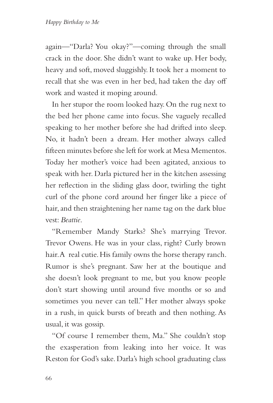again—"Darla? You okay?"—coming through the small crack in the door. She didn't want to wake up. Her body, heavy and soft, moved sluggishly. It took her a moment to recall that she was even in her bed, had taken the day off work and wasted it moping around.

In her stupor the room looked hazy. On the rug next to the bed her phone came into focus. She vaguely recalled speaking to her mother before she had drifted into sleep. No, it hadn't been a dream. Her mother always called fifteen minutes before she left for work at Mesa Mementos. Today her mother's voice had been agitated, anxious to speak with her. Darla pictured her in the kitchen assessing her reflection in the sliding glass door, twirling the tight curl of the phone cord around her finger like a piece of hair, and then straightening her name tag on the dark blue vest: *Beattie*.

"Remember Mandy Starks? She's marrying Trevor. Trevor Owens. He was in your class, right? Curly brown hair. A real cutie. His family owns the horse therapy ranch. Rumor is she's pregnant. Saw her at the boutique and she doesn't look pregnant to me, but you know people don't start showing until around five months or so and sometimes you never can tell." Her mother always spoke in a rush, in quick bursts of breath and then nothing. As usual, it was gossip.

"Of course I remember them, Ma." She couldn't stop the exasperation from leaking into her voice. It was Reston for God's sake. Darla's high school graduating class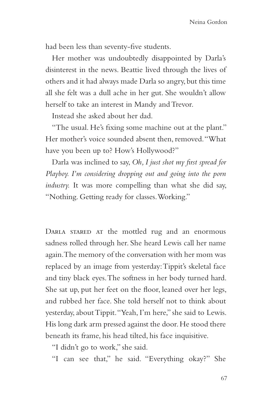had been less than seventy-five students.

Her mother was undoubtedly disappointed by Darla's disinterest in the news. Beattie lived through the lives of others and it had always made Darla so angry, but this time all she felt was a dull ache in her gut. She wouldn't allow herself to take an interest in Mandy and Trevor.

Instead she asked about her dad.

"The usual. He's fixing some machine out at the plant." Her mother's voice sounded absent then, removed. "What have you been up to? How's Hollywood?"

Darla was inclined to say, *Oh, I just shot my first spread for Playboy. I'm considering dropping out and going into the porn industry.* It was more compelling than what she did say, "Nothing. Getting ready for classes. Working."

DARLA STARED AT the mottled rug and an enormous sadness rolled through her. She heard Lewis call her name again. The memory of the conversation with her mom was replaced by an image from yesterday: Tippit's skeletal face and tiny black eyes. The softness in her body turned hard. She sat up, put her feet on the floor, leaned over her legs, and rubbed her face. She told herself not to think about yesterday, about Tippit. "Yeah, I'm here," she said to Lewis. His long dark arm pressed against the door. He stood there beneath its frame, his head tilted, his face inquisitive.

"I didn't go to work," she said.

"I can see that," he said. "Everything okay?" She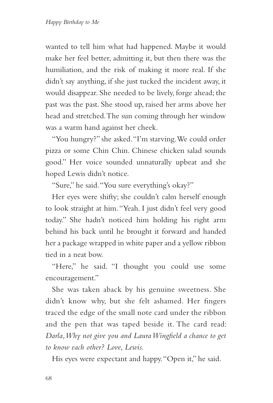wanted to tell him what had happened. Maybe it would make her feel better, admitting it, but then there was the humiliation, and the risk of making it more real. If she didn't say anything, if she just tucked the incident away, it would disappear. She needed to be lively, forge ahead; the past was the past. She stood up, raised her arms above her head and stretched. The sun coming through her window was a warm hand against her cheek.

"You hungry?" she asked. "I'm starving. We could order pizza or some Chin Chin. Chinese chicken salad sounds good." Her voice sounded unnaturally upbeat and she hoped Lewis didn't notice.

"Sure," he said. "You sure everything's okay?"

Her eyes were shifty; she couldn't calm herself enough to look straight at him. "Yeah. I just didn't feel very good today." She hadn't noticed him holding his right arm behind his back until he brought it forward and handed her a package wrapped in white paper and a yellow ribbon tied in a neat bow.

"Here," he said. "I thought you could use some encouragement."

She was taken aback by his genuine sweetness. She didn't know why, but she felt ashamed. Her fingers traced the edge of the small note card under the ribbon and the pen that was taped beside it. The card read: *Darla, Why not give you and Laura Wingfield a chance to get to know each other? Love, Lewis.*

His eyes were expectant and happy. "Open it," he said.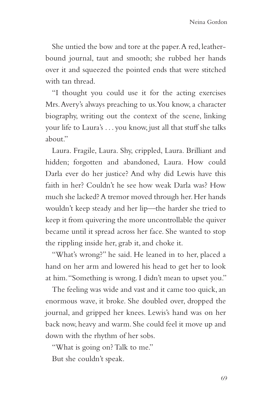She untied the bow and tore at the paper. A red, leatherbound journal, taut and smooth; she rubbed her hands over it and squeezed the pointed ends that were stitched with tan thread.

"I thought you could use it for the acting exercises Mrs. Avery's always preaching to us. You know, a character biography, writing out the context of the scene, linking your life to Laura's . . . you know, just all that stuff she talks about"

Laura. Fragile, Laura. Shy, crippled, Laura. Brilliant and hidden; forgotten and abandoned, Laura. How could Darla ever do her justice? And why did Lewis have this faith in her? Couldn't he see how weak Darla was? How much she lacked? A tremor moved through her. Her hands wouldn't keep steady and her lip—the harder she tried to keep it from quivering the more uncontrollable the quiver became until it spread across her face. She wanted to stop the rippling inside her, grab it, and choke it.

"What's wrong?" he said. He leaned in to her, placed a hand on her arm and lowered his head to get her to look at him. "Something is wrong. I didn't mean to upset you."

The feeling was wide and vast and it came too quick, an enormous wave, it broke. She doubled over, dropped the journal, and gripped her knees. Lewis's hand was on her back now, heavy and warm. She could feel it move up and down with the rhythm of her sobs.

"What is going on? Talk to me." But she couldn't speak.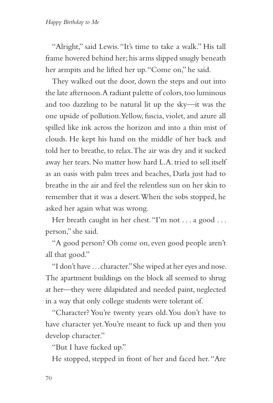"Alright," said Lewis. "It's time to take a walk." His tall frame hovered behind her; his arms slipped snugly beneath her armpits and he lifted her up. "Come on," he said.

They walked out the door, down the steps and out into the late afternoon. A radiant palette of colors, too luminous and too dazzling to be natural lit up the sky—it was the one upside of pollution. Yellow, fuscia, violet, and azure all spilled like ink across the horizon and into a thin mist of clouds. He kept his hand on the middle of her back and told her to breathe, to relax. The air was dry and it sucked away her tears. No matter how hard L.A. tried to sell itself as an oasis with palm trees and beaches, Darla just had to breathe in the air and feel the relentless sun on her skin to remember that it was a desert. When the sobs stopped, he asked her again what was wrong.

Her breath caught in her chest. "I'm not . . . a good . . . person," she said.

"A good person? Oh come on, even good people aren't all that good."

"I don't have . . . character." She wiped at her eyes and nose. The apartment buildings on the block all seemed to shrug at her—they were dilapidated and needed paint, neglected in a way that only college students were tolerant of.

"Character? You're twenty years old. You don't have to have character yet. You're meant to fuck up and then you develop character."

"But I have fucked up."

He stopped, stepped in front of her and faced her. "Are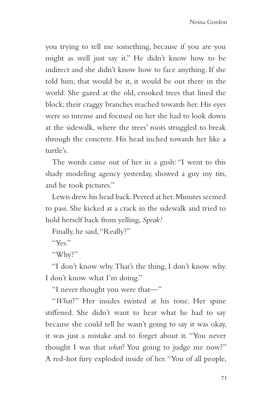you trying to tell me something, because if you are you might as well just say it." He didn't know how to be indirect and she didn't know how to face anything. If she told him, that would be it, it would be out there in the world. She gazed at the old, crooked trees that lined the block; their craggy branches reached towards her. His eyes were so intense and focused on her she had to look down at the sidewalk, where the trees' roots struggled to break through the concrete. His head inched towards her like a turtle's.

The words came out of her in a gush: "I went to this shady modeling agency yesterday, showed a guy my tits, and he took pictures."

Lewis drew his head back. Peered at her. Minutes seemed to pass. She kicked at a crack in the sidewalk and tried to hold herself back from yelling, *Speak!*

Finally, he said, "Really?"

 $``V_{\rho\kappa}"$ 

"Why?"

"I don't know why. That's the thing, I don't know why. I don't know what I'm doing."

"I never thought you were that—"

"*What*?" Her insides twisted at his tone. Her spine stiffened. She didn't want to hear what he had to say because she could tell he wasn't going to say it was okay, it was just a mistake and to forget about it. "You never thought I was that *what*? You going to judge me now?" A red-hot fury exploded inside of her. "You of all people,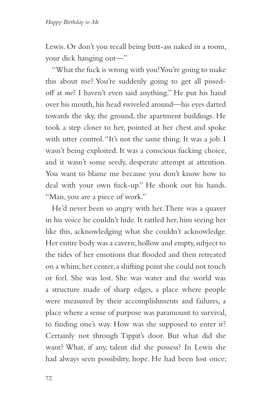Lewis. Or don't you recall being butt-ass naked in a room, your dick hanging out—"

"What the fuck is wrong with you! You're going to make this about me? You're suddenly going to get all pissedoff at *me*? I haven't even said anything." He put his hand over his mouth, his head swiveled around—his eyes darted towards the sky, the ground, the apartment buildings. He took a step closer to her, pointed at her chest and spoke with utter control. "It's not the same thing. It was a job. I wasn't being exploited. It was a conscious fucking choice, and it wasn't some seedy, desperate attempt at attention. You want to blame me because you don't know how to deal with your own fuck-up." He shook out his hands. "Man, you are a piece of work."

He'd never been so angry with her. There was a quaver in his voice he couldn't hide. It rattled her, him seeing her like this, acknowledging what she couldn't acknowledge. Her entire body was a cavern, hollow and empty, subject to the tides of her emotions that flooded and then retreated on a whim; her center, a shifting point she could not touch or feel. She was lost. She was water and the world was a structure made of sharp edges, a place where people were measured by their accomplishments and failures, a place where a sense of purpose was paramount to survival, to finding one's way. How was she supposed to enter it? Certainly not through Tippit's door. But what did she want? What, if any, talent did she possess? In Lewis she had always seen possibility, hope. He had been lost once;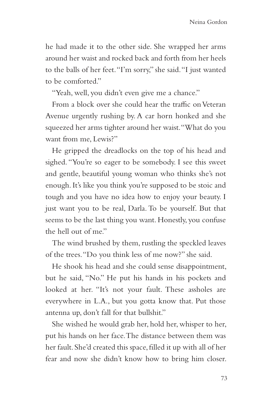he had made it to the other side. She wrapped her arms around her waist and rocked back and forth from her heels to the balls of her feet. "I'm sorry," she said. "I just wanted to be comforted."

"Yeah, well, you didn't even give me a chance."

From a block over she could hear the traffic on Veteran Avenue urgently rushing by. A car horn honked and she squeezed her arms tighter around her waist. "What do you want from me, Lewis?"

He gripped the dreadlocks on the top of his head and sighed. "You're so eager to be somebody. I see this sweet and gentle, beautiful young woman who thinks she's not enough. It's like you think you're supposed to be stoic and tough and you have no idea how to enjoy your beauty. I just want you to be real, Darla. To be yourself. But that seems to be the last thing you want. Honestly, you confuse the hell out of me."

The wind brushed by them, rustling the speckled leaves of the trees. "Do you think less of me now?" she said.

He shook his head and she could sense disappointment, but he said, "No." He put his hands in his pockets and looked at her. "It's not your fault. These assholes are everywhere in L.A., but you gotta know that. Put those antenna up, don't fall for that bullshit."

She wished he would grab her, hold her, whisper to her, put his hands on her face. The distance between them was her fault. She'd created this space, filled it up with all of her fear and now she didn't know how to bring him closer.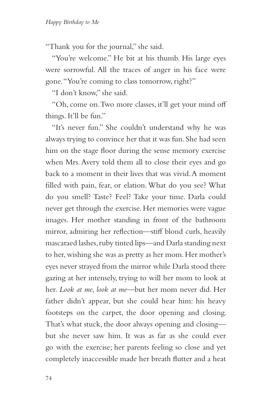"Thank you for the journal," she said.

"You're welcome." He bit at his thumb. His large eyes were sorrowful. All the traces of anger in his face were gone. "You're coming to class tomorrow, right?"

"I don't know," she said.

"Oh, come on. Two more classes, it'll get your mind off things. It'll be fun."

"It's never fun." She couldn't understand why he was always trying to convince her that it was fun. She had seen him on the stage floor during the sense memory exercise when Mrs. Avery told them all to close their eyes and go back to a moment in their lives that was vivid. A moment filled with pain, fear, or elation. What do you see? What do you smell? Taste? Feel? Take your time. Darla could never get through the exercise. Her memories were vague images. Her mother standing in front of the bathroom mirror, admiring her reflection—stiff blond curls, heavily mascaraed lashes, ruby tinted lips—and Darla standing next to her, wishing she was as pretty as her mom. Her mother's eyes never strayed from the mirror while Darla stood there gazing at her intensely, trying to will her mom to look at her. *Look at me, look at me*—but her mom never did. Her father didn't appear, but she could hear him: his heavy footsteps on the carpet, the door opening and closing. That's what stuck, the door always opening and closing but she never saw him. It was as far as she could ever go with the exercise; her parents feeling so close and yet completely inaccessible made her breath flutter and a heat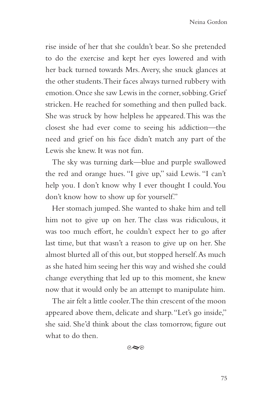rise inside of her that she couldn't bear. So she pretended to do the exercise and kept her eyes lowered and with her back turned towards Mrs. Avery, she snuck glances at the other students. Their faces always turned rubbery with emotion. Once she saw Lewis in the corner, sobbing. Grief stricken. He reached for something and then pulled back. She was struck by how helpless he appeared. This was the closest she had ever come to seeing his addiction—the need and grief on his face didn't match any part of the Lewis she knew. It was not fun.

The sky was turning dark—blue and purple swallowed the red and orange hues. "I give up," said Lewis. "I can't help you. I don't know why I ever thought I could. You don't know how to show up for yourself."

Her stomach jumped. She wanted to shake him and tell him not to give up on her. The class was ridiculous, it was too much effort, he couldn't expect her to go after last time, but that wasn't a reason to give up on her. She almost blurted all of this out, but stopped herself. As much as she hated him seeing her this way and wished she could change everything that led up to this moment, she knew now that it would only be an attempt to manipulate him.

The air felt a little cooler. The thin crescent of the moon appeared above them, delicate and sharp. "Let's go inside," she said. She'd think about the class tomorrow, figure out what to do then.

 $\circ \sim$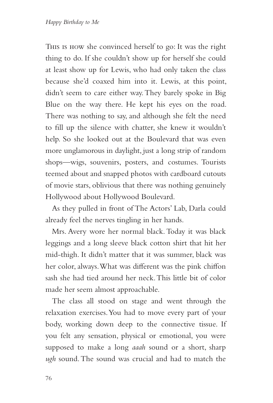This is how she convinced herself to go: It was the right thing to do. If she couldn't show up for herself she could at least show up for Lewis, who had only taken the class because she'd coaxed him into it. Lewis, at this point, didn't seem to care either way. They barely spoke in Big Blue on the way there. He kept his eyes on the road. There was nothing to say, and although she felt the need to fill up the silence with chatter, she knew it wouldn't help. So she looked out at the Boulevard that was even more unglamorous in daylight, just a long strip of random shops—wigs, souvenirs, posters, and costumes. Tourists teemed about and snapped photos with cardboard cutouts of movie stars, oblivious that there was nothing genuinely Hollywood about Hollywood Boulevard.

As they pulled in front of The Actors' Lab, Darla could already feel the nerves tingling in her hands.

Mrs. Avery wore her normal black. Today it was black leggings and a long sleeve black cotton shirt that hit her mid-thigh. It didn't matter that it was summer, black was her color, always. What was different was the pink chiffon sash she had tied around her neck. This little bit of color made her seem almost approachable.

The class all stood on stage and went through the relaxation exercises. You had to move every part of your body, working down deep to the connective tissue. If you felt any sensation, physical or emotional, you were supposed to make a long *aaah* sound or a short, sharp *ugh* sound. The sound was crucial and had to match the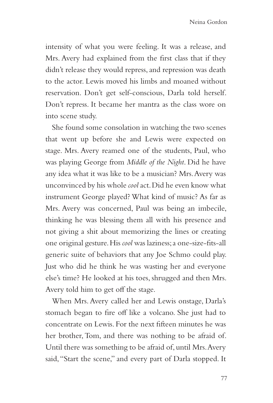intensity of what you were feeling. It was a release, and Mrs. Avery had explained from the first class that if they didn't release they would repress, and repression was death to the actor. Lewis moved his limbs and moaned without reservation. Don't get self-conscious, Darla told herself. Don't repress. It became her mantra as the class wore on into scene study.

She found some consolation in watching the two scenes that went up before she and Lewis were expected on stage. Mrs. Avery reamed one of the students, Paul, who was playing George from *Middle of the Night*. Did he have any idea what it was like to be a musician? Mrs. Avery was unconvinced by his whole *cool* act. Did he even know what instrument George played? What kind of music? As far as Mrs. Avery was concerned, Paul was being an imbecile, thinking he was blessing them all with his presence and not giving a shit about memorizing the lines or creating one original gesture. His *cool* was laziness; a one-size-fits-all generic suite of behaviors that any Joe Schmo could play. Just who did he think he was wasting her and everyone else's time? He looked at his toes, shrugged and then Mrs. Avery told him to get off the stage.

When Mrs. Avery called her and Lewis onstage, Darla's stomach began to fire off like a volcano. She just had to concentrate on Lewis. For the next fifteen minutes he was her brother, Tom, and there was nothing to be afraid of. Until there was something to be afraid of, until Mrs. Avery said, "Start the scene," and every part of Darla stopped. It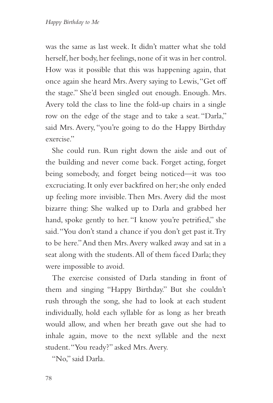was the same as last week. It didn't matter what she told herself, her body, her feelings, none of it was in her control. How was it possible that this was happening again, that once again she heard Mrs. Avery saying to Lewis, "Get off the stage." She'd been singled out enough. Enough. Mrs. Avery told the class to line the fold-up chairs in a single row on the edge of the stage and to take a seat. "Darla," said Mrs. Avery, "you're going to do the Happy Birthday exercise."

She could run. Run right down the aisle and out of the building and never come back. Forget acting, forget being somebody, and forget being noticed—it was too excruciating. It only ever backfired on her; she only ended up feeling more invisible. Then Mrs. Avery did the most bizarre thing: She walked up to Darla and grabbed her hand, spoke gently to her. "I know you're petrified," she said. "You don't stand a chance if you don't get past it. Try to be here." And then Mrs. Avery walked away and sat in a seat along with the students. All of them faced Darla; they were impossible to avoid.

The exercise consisted of Darla standing in front of them and singing "Happy Birthday." But she couldn't rush through the song, she had to look at each student individually, hold each syllable for as long as her breath would allow, and when her breath gave out she had to inhale again, move to the next syllable and the next student. "You ready?" asked Mrs. Avery.

"No," said Darla.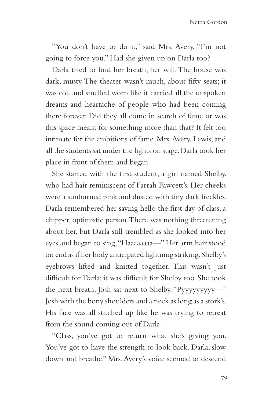"You don't have to do it," said Mrs. Avery. "I'm not going to force you." Had she given up on Darla too?

Darla tried to find her breath, her will. The house was dark, musty. The theater wasn't much, about fifty seats; it was old, and smelled worn like it carried all the unspoken dreams and heartache of people who had been coming there forever. Did they all come in search of fame or was this space meant for something more than that? It felt too intimate for the ambitions of fame. Mrs. Avery, Lewis, and all the students sat under the lights on stage. Darla took her place in front of them and began.

She started with the first student, a girl named Shelby, who had hair reminiscent of Farrah Fawcett's. Her cheeks were a sunburned pink and dusted with tiny dark freckles. Darla remembered her saying hello the first day of class, a chipper, optimistic person. There was nothing threatening about her, but Darla still trembled as she looked into her eyes and began to sing, "Haaaaaaaa—" Her arm hair stood on end as if her body anticipated lightning striking. Shelby's eyebrows lifted and knitted together. This wasn't just difficult for Darla; it was difficult for Shelby too. She took the next breath. Josh sat next to Shelby. "Pyyyyyyyyy—" Josh with the bony shoulders and a neck as long as a stork's. His face was all stitched up like he was trying to retreat from the sound coming out of Darla.

"Class, you've got to return what she's giving you. You've got to have the strength to look back. Darla, slow down and breathe." Mrs. Avery's voice seemed to descend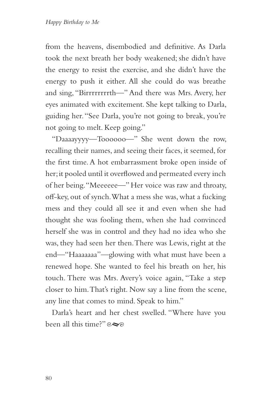from the heavens, disembodied and definitive. As Darla took the next breath her body weakened; she didn't have the energy to resist the exercise, and she didn't have the energy to push it either. All she could do was breathe and sing, "Birrrrrrrrth—" And there was Mrs. Avery, her eyes animated with excitement. She kept talking to Darla, guiding her. "See Darla, you're not going to break, you're not going to melt. Keep going."

"Daaaayyyy—Toooooo—" She went down the row, recalling their names, and seeing their faces, it seemed, for the first time. A hot embarrassment broke open inside of her; it pooled until it overflowed and permeated every inch of her being. "Meeeeee—" Her voice was raw and throaty, off-key, out of synch. What a mess she was, what a fucking mess and they could all see it and even when she had thought she was fooling them, when she had convinced herself she was in control and they had no idea who she was, they had seen her then. There was Lewis, right at the end—"Haaaaaaa"—glowing with what must have been a renewed hope. She wanted to feel his breath on her, his touch. There was Mrs. Avery's voice again, "Take a step closer to him. That's right. Now say a line from the scene, any line that comes to mind. Speak to him."

Darla's heart and her chest swelled. "Where have you been all this time?"